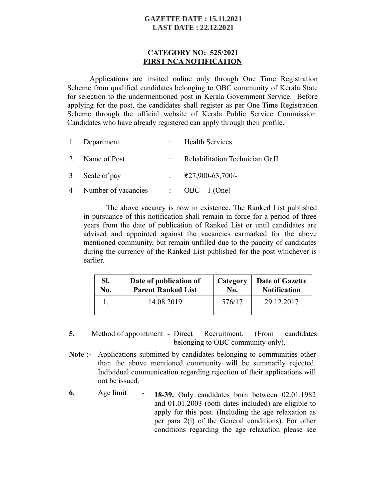### **GAZETTE DATE: 15.11.2021 LAST DATE: 22.12.2021**

#### **CATEGORY NO: 525/2021 FIRST NCA NOTIFICATION**

Applications are invited online only through One Time Registration Scheme from qualified candidates belonging to OBC community of Kerala State for selection to the undermentioned post in Kerala Government Service. Before applying for the post, the candidates shall register as per One Time Registration Scheme through the official website of Kerala Public Service Commission. Candidates who have already registered can apply through their profile.

| 1 Department          | : Health Services               |
|-----------------------|---------------------------------|
| 2 Name of Post        | Rehabilitation Technician Gr.II |
| 3 Scale of pay        | $\div$ ₹27,900-63,700/-         |
| 4 Number of vacancies | $\therefore$ OBC – 1 (One)      |

The above vacancy is now in existence. The Ranked List published in pursuance of this notification shall remain in force for a period of three years from the date of publication of Ranked List or until candidates are advised and appointed against the vacancies earmarked for the above mentioned community, but remain unfilled due to the paucity of candidates during the currency of the Ranked List published for the post whichever is earlier.

| SI. | Date of publication of    | Category | Date of Gazette     |
|-----|---------------------------|----------|---------------------|
| No. | <b>Parent Ranked List</b> | No.      | <b>Notification</b> |
|     | 14.08.2019                | 576/17   | 29.12.2017          |

- **5.** Method of appointment Direct Recruitment. (From candidates belonging to OBC community only).
- **Note :-** Applications submitted by candidates belonging to communities other than the above mentioned community will be summarily rejected. Individual communication regarding rejection of their applications will not be issued.
- **6.** Age limit **18-39.** Only candidates born between 02.01.1982 and 01.01.2003 (both dates included) are eligible to apply for this post. (Including the age relaxation as per para 2(i) of the General conditions). For other conditions regarding the age relaxation please see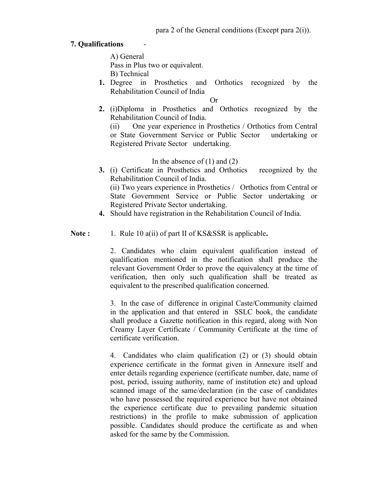# **7. Qualifications** -

A) General Pass in Plus two or equivalent. B) Technical

**1.** Degree in Prosthetics and Orthotics recognized by the Rehabilitation Council of India

Or

**2.** (i)Diploma in Prosthetics and Orthotics recognized by the Rehabilitation Council of India.

(ii) One year experience in Prosthetics / Orthotics from Central or State Government Service or Public Sector undertaking or Registered Private Sector undertaking.

In the absence of  $(1)$  and  $(2)$ 

**3.** (i) Certificate in Prosthetics and Orthotics recognized by the Rehabilitation Council of India.

(ii) Two years experience in Prosthetics / Orthotics from Central or State Government Service or Public Sector undertaking or Registered Private Sector undertaking.

**4.** Should have registration in the Rehabilitation Council of India.

Note : 1. Rule 10 a(ii) of part II of KS&SSR is applicable.

2. Candidates who claim equivalent qualification instead of qualification mentioned in the notification shall produce the relevant Government Order to prove the equivalency at the time of verification, then only such qualification shall be treated as equivalent to the prescribed qualification concerned.

3. In the case of difference in original Caste/Community claimed in the application and that entered in SSLC book, the candidate shall produce a Gazette notification in this regard, along with Non Creamy Layer Certificate / Community Certificate at the time of certificate verification.

4. Candidates who claim qualification (2) or (3) should obtain experience certificate in the format given in Annexure itself and enter details regarding experience (certificate number, date, name of post, period, issuing authority, name of institution etc) and upload scanned image of the same/declaration (in the case of candidates who have possessed the required experience but have not obtained the experience certificate due to prevailing pandemic situation restrictions) in the profile to make submission of application possible. Candidates should produce the certificate as and when asked for the same by the Commission.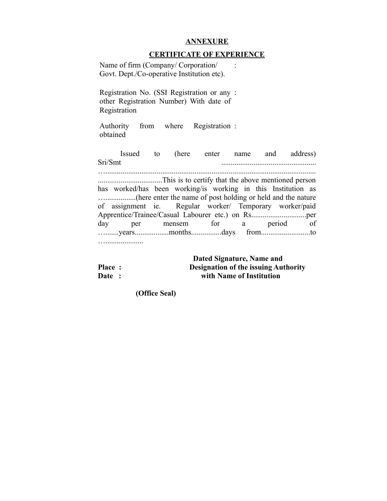#### **ANNEXURE**

#### **CERTIFICATE OF EXPERIENCE**

| Name of firm (Company/Corporation/         |  |
|--------------------------------------------|--|
| Govt. Dept./Co-operative Institution etc). |  |

Registration No. (SSI Registration or any : other Registration Number) With date of Registration

Authority from where Registration : obtained

Issued to (here enter name and address) Sri/Smt …............................................................................................................... ..................................This is to certify that the above mentioned person has worked/has been working/is working in this Institution as …................(here enter the name of post holding or held and the nature of assignment ie. Regular worker/ Temporary worker/paid Apprentice/Trainee/Casual Labourer etc.) on Rs.............................per day per mensem for a period of ….......years..................months................days from..........................to …....................

 **Dated Signature, Name and Place : Designation of the issuing Authority Date : with Name of Institution**

 **(Office Seal)**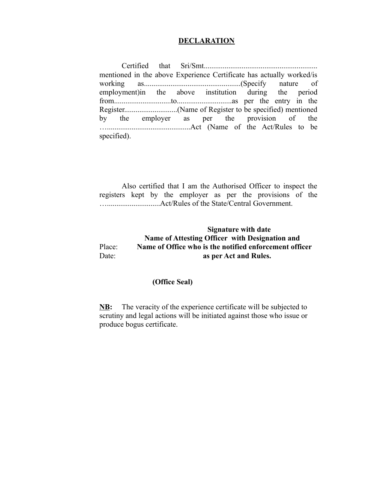#### **DECLARATION**

Certified that Sri/Smt............................................................ mentioned in the above Experience Certificate has actually worked/is working as...................................................(Specify nature of employment)in the above institution during the period from..............................to.............................as per the entry in the Register............................(Name of Register to be specified) mentioned by the employer as per the provision of the …............................................Act (Name of the Act/Rules to be specified).

Also certified that I am the Authorised Officer to inspect the registers kept by the employer as per the provisions of the …............................Act/Rules of the State/Central Government.

### **Signature with date Name of Attesting Officer with Designation and**  Place: **Name of Office who is the notified enforcement officer** Date: **as per Act and Rules.**

## **(Office Seal)**

**NB:** The veracity of the experience certificate will be subjected to scrutiny and legal actions will be initiated against those who issue or produce bogus certificate.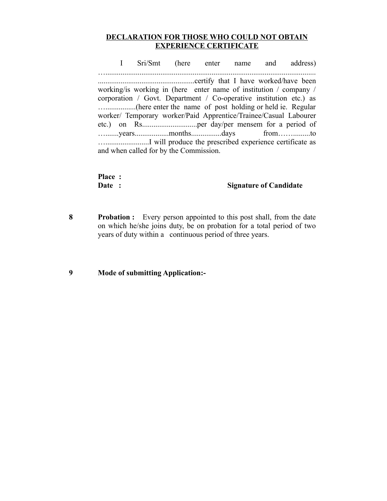# **DECLARATION FOR THOSE WHO COULD NOT OBTAIN EXPERIENCE CERTIFICATE**

I Sri/Smt (here enter name and address) …............................................................................................................... ...................................................certify that I have worked/have been working/is working in (here enter name of institution / company / corporation / Govt. Department / Co-operative institution etc.) as …................(here enter the name of post holding or held ie. Regular worker/ Temporary worker/Paid Apprentice/Trainee/Casual Labourer etc.) on Rs.............................per day/per mensem for a period of ….......years..................months................days from…….........to ….......................I will produce the prescribed experience certificate as and when called for by the Commission.

| Place: |                               |
|--------|-------------------------------|
| Date : | <b>Signature of Candidate</b> |

**8 Probation :** Every person appointed to this post shall, from the date on which he/she joins duty, be on probation for a total period of two years of duty within a continuous period of three years.

#### **9 Mode of submitting Application:-**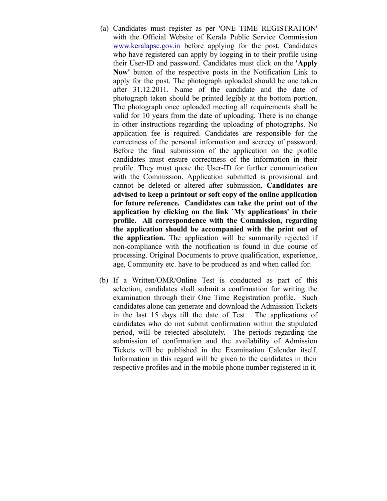- (a) Candidates must register as per 'ONE TIME REGISTRATION' with the Official Website of Kerala Public Service Commission [www.keralapsc.gov.in](http://www.kerealapsc.gov.in/) before applying for the post. Candidates who have registered can apply by logging in to their profile using their User-ID and password. Candidates must click on the **'Apply Now'** button of the respective posts in the Notification Link to apply for the post. The photograph uploaded should be one taken after 31.12.2011. Name of the candidate and the date of photograph taken should be printed legibly at the bottom portion. The photograph once uploaded meeting all requirements shall be valid for 10 years from the date of uploading. There is no change in other instructions regarding the uploading of photographs. No application fee is required. Candidates are responsible for the correctness of the personal information and secrecy of password. Before the final submission of the application on the profile candidates must ensure correctness of the information in their profile. They must quote the User-ID for further communication with the Commission. Application submitted is provisional and cannot be deleted or altered after submission. **Candidates are advised to keep a printout or soft copy of the online application for future reference. Candidates can take the print out of the application by clicking on the link `My applications' in their profile. All correspondence with the Commission, regarding the application should be accompanied with the print out of the application.** The application will be summarily rejected if non-compliance with the notification is found in due course of processing. Original Documents to prove qualification, experience, age, Community etc. have to be produced as and when called for.
- (b) If a Written/OMR/Online Test is conducted as part of this selection, candidates shall submit a confirmation for writing the examination through their One Time Registration profile. Such candidates alone can generate and download the Admission Tickets in the last 15 days till the date of Test. The applications of candidates who do not submit confirmation within the stipulated period, will be rejected absolutely. The periods regarding the submission of confirmation and the availability of Admission Tickets will be published in the Examination Calendar itself. Information in this regard will be given to the candidates in their respective profiles and in the mobile phone number registered in it.